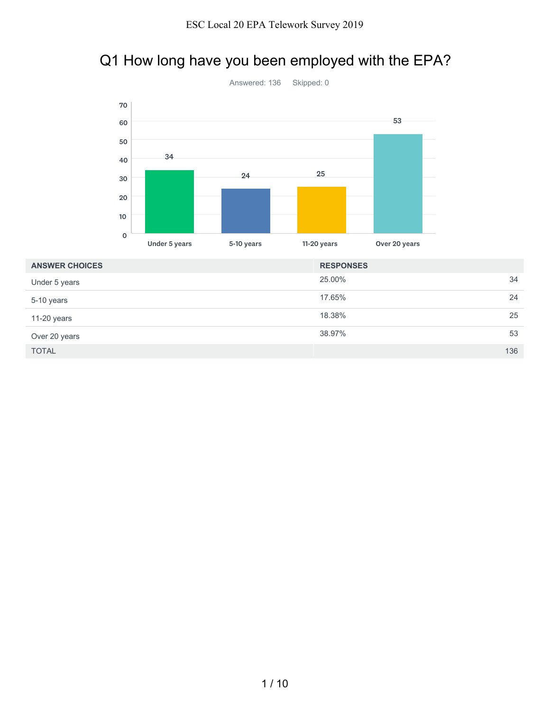## Q1 How long have you been employed with the EPA?



| <b>ANSWER CHOICES</b> | <b>RESPONSES</b> |     |
|-----------------------|------------------|-----|
| Under 5 years         | 25.00%           | 34  |
| 5-10 years            | 17.65%           | 24  |
| 11-20 years           | 18.38%           | 25  |
| Over 20 years         | 38.97%           | 53  |
| <b>TOTAL</b>          |                  | 136 |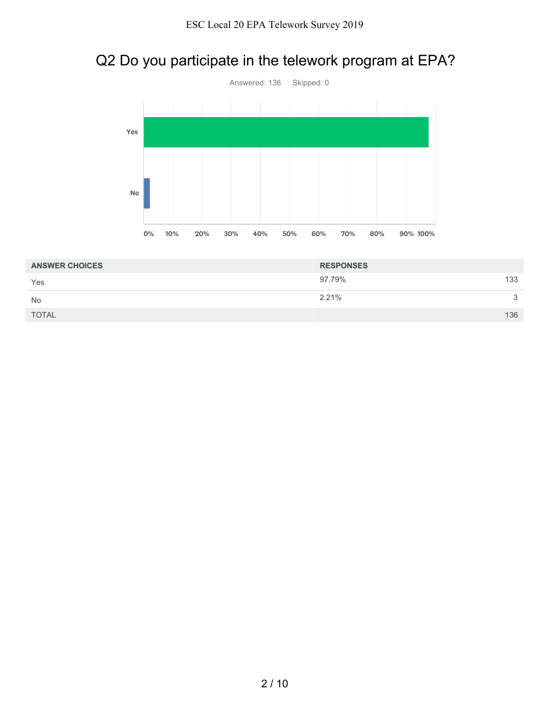## Q2 Do you participate in the telework program at EPA?



| <b>ANSWER CHOICES</b> | <b>RESPONSES</b> |              |
|-----------------------|------------------|--------------|
| Yes                   | 97.79%           | 133          |
| <b>No</b>             | 2.21%            | $\mathbf{r}$ |
| <b>TOTAL</b>          |                  | 136          |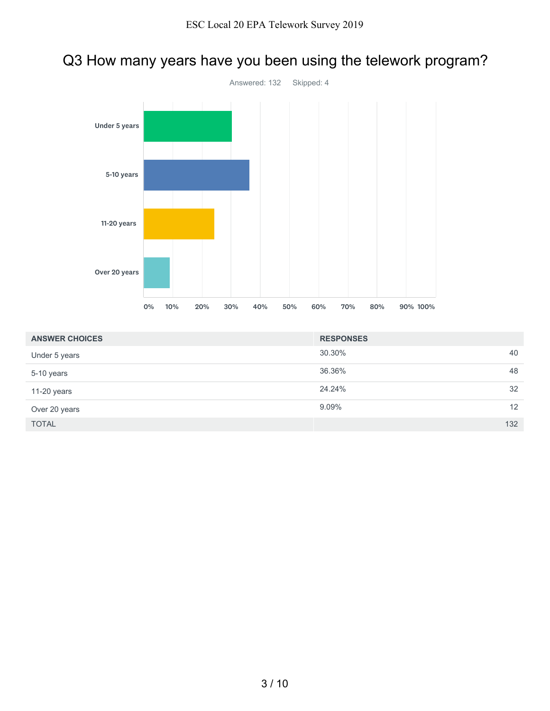## Q3 How many years have you been using the telework program?



| <b>ANSWER CHOICES</b> | <b>RESPONSES</b> |                   |
|-----------------------|------------------|-------------------|
| Under 5 years         | 30.30%           | 40                |
| 5-10 years            | 36.36%           | 48                |
| 11-20 years           | 24.24%           | 32                |
| Over 20 years         | 9.09%            | $12 \overline{ }$ |
| <b>TOTAL</b>          |                  | 132               |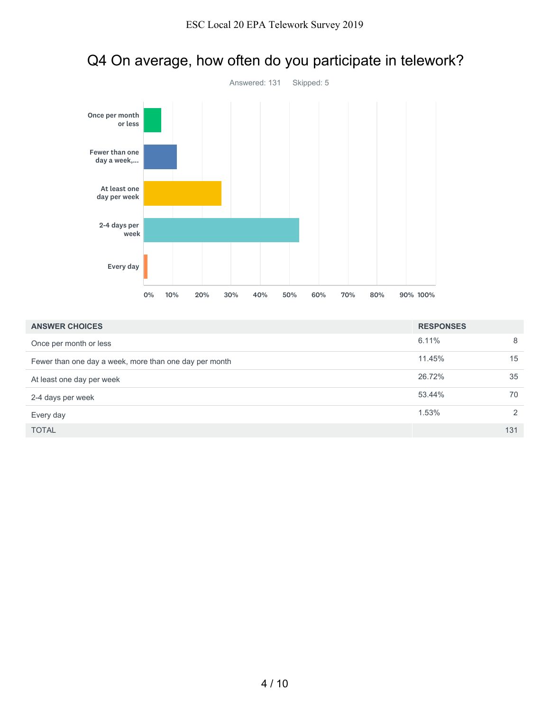

## Q4 On average, how often do you participate in telework?

| <b>ANSWER CHOICES</b>                                  | <b>RESPONSES</b> |               |
|--------------------------------------------------------|------------------|---------------|
| Once per month or less                                 | 6.11%            | 8             |
| Fewer than one day a week, more than one day per month | 11.45%           | 15            |
| At least one day per week                              | 26.72%           | 35            |
| 2-4 days per week                                      | 53.44%           | 70            |
| Every day                                              | 1.53%            | $\mathcal{P}$ |
| <b>TOTAL</b>                                           |                  | 131           |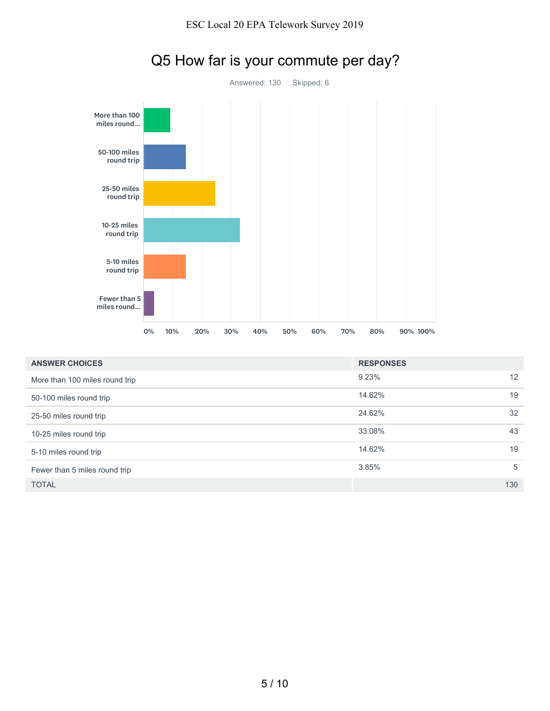

## Q5 How far is your commute per day?

| <b>ANSWER CHOICES</b>          | <b>RESPONSES</b> |     |
|--------------------------------|------------------|-----|
| More than 100 miles round trip | 9.23%            | 12  |
| 50-100 miles round trip        | 14.62%           | 19  |
| 25-50 miles round trip         | 24.62%           | 32  |
| 10-25 miles round trip         | 33.08%           | 43  |
| 5-10 miles round trip          | 14.62%           | 19  |
| Fewer than 5 miles round trip  | 3.85%            | 5   |
| <b>TOTAL</b>                   |                  | 130 |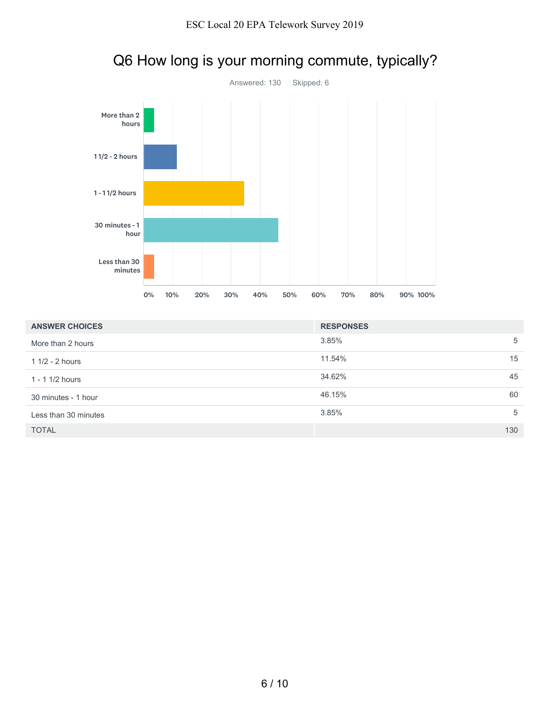

## Q6 How long is your morning commute, typically?

| <b>ANSWER CHOICES</b> | <b>RESPONSES</b> |     |
|-----------------------|------------------|-----|
| More than 2 hours     | 3.85%            | 5   |
| $11/2 - 2$ hours      | 11.54%           | 15  |
| $1 - 11/2$ hours      | 34.62%           | 45  |
| 30 minutes - 1 hour   | 46.15%           | 60  |
| Less than 30 minutes  | 3.85%            | 5   |
| <b>TOTAL</b>          |                  | 130 |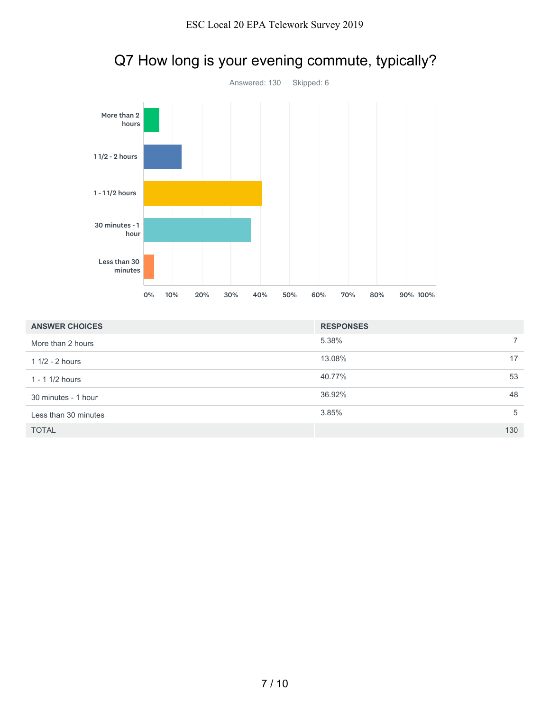

# Q7 How long is your evening commute, typically?

| <b>ANSWER CHOICES</b> | <b>RESPONSES</b> |     |
|-----------------------|------------------|-----|
| More than 2 hours     | 5.38%            |     |
| $11/2 - 2$ hours      | 13.08%           | 17  |
| $1 - 11/2$ hours      | 40.77%           | 53  |
| 30 minutes - 1 hour   | 36.92%           | 48  |
| Less than 30 minutes  | 3.85%            | 5   |
| <b>TOTAL</b>          |                  | 130 |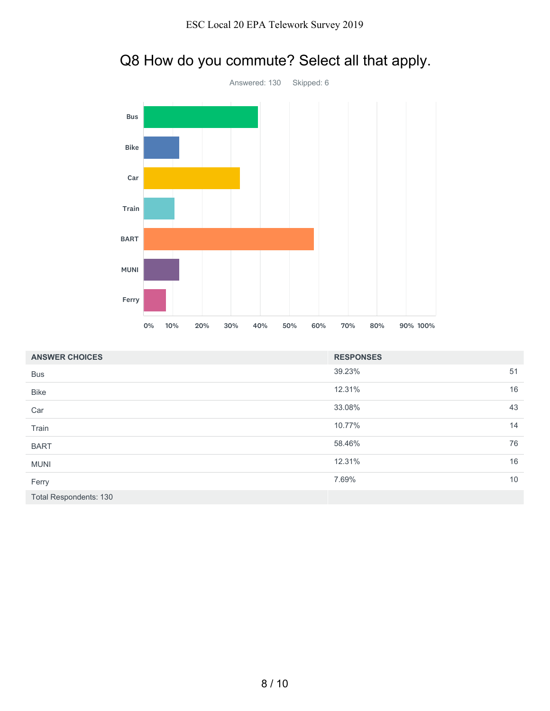

## Q8 How do you commute? Select all that apply.

| <b>ANSWER CHOICES</b>         | <b>RESPONSES</b> |    |
|-------------------------------|------------------|----|
| <b>Bus</b>                    | 39.23%           | 51 |
| <b>Bike</b>                   | 12.31%           | 16 |
| Car                           | 33.08%           | 43 |
| Train                         | 10.77%           | 14 |
| <b>BART</b>                   | 58.46%           | 76 |
| <b>MUNI</b>                   | 12.31%           | 16 |
| Ferry                         | 7.69%            | 10 |
| <b>Total Respondents: 130</b> |                  |    |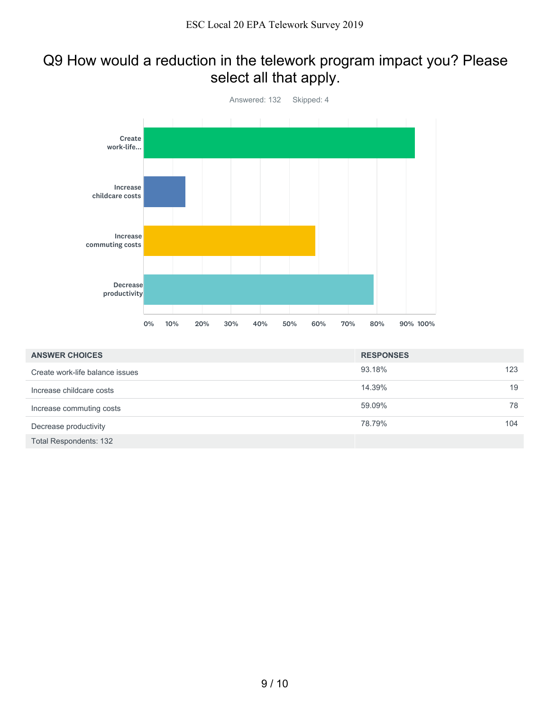## Q9 How would a reduction in the telework program impact you? Please select all that apply.



| <b>ANSWER CHOICES</b>           | <b>RESPONSES</b> |    |
|---------------------------------|------------------|----|
| Create work-life balance issues | 93.18%<br>123    |    |
| Increase childcare costs        | 14.39%           | 19 |
| Increase commuting costs        | 59.09%           | 78 |
| Decrease productivity           | 78.79%<br>104    |    |
| <b>Total Respondents: 132</b>   |                  |    |